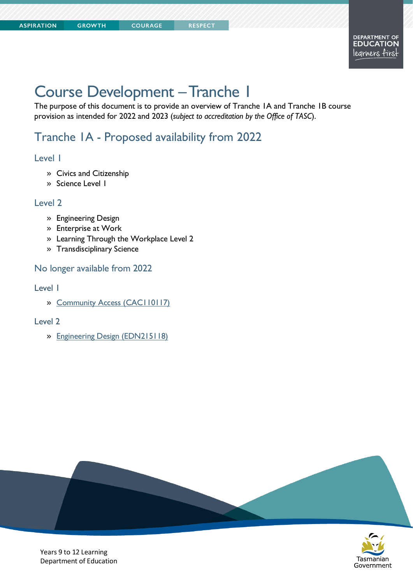# Course Development –Tranche 1

**COURAGE** 

The purpose of this document is to provide an overview of Tranche 1A and Tranche 1B course provision as intended for 2022 and 2023 (*subject to accreditation by the Office of TASC*).

# Tranche 1A - Proposed availability from 2022

#### Level 1

- » Civics and Citizenship
- » Science Level 1

#### Level 2

- » Engineering Design
- » Enterprise at Work
- » Learning Through the Workplace Level 2
- » Transdisciplinary Science

#### No longer available from 2022

#### Level 1

» [Community Access \(CAC110117\)](https://www.tasc.tas.gov.au/students/courses/humanities-and-social-sciences/cac110117-3/)

#### Level 2

» [Engineering Design \(EDN215118\)](https://www.tasc.tas.gov.au/students/courses/technologies/edn215118-2/)





Years 9 to 12 Learning Department of Education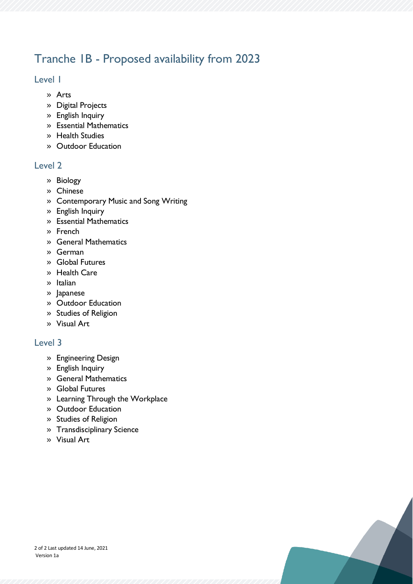# Tranche 1B - Proposed availability from 2023

### Level 1

- » Arts
- » Digital Projects
- » English Inquiry
- » Essential Mathematics
- » Health Studies
- » Outdoor Education

### Level 2

- » Biology
- » Chinese
- » Contemporary Music and Song Writing
- » English Inquiry
- » Essential Mathematics
- » French
- » General Mathematics
- » German
- » Global Futures
- » Health Care
- » Italian
- » Japanese
- » Outdoor Education
- » Studies of Religion
- » Visual Art

# Level 3

- » Engineering Design
- » English Inquiry
- » General Mathematics
- » Global Futures
- » Learning Through the Workplace
- » Outdoor Education
- » Studies of Religion
- » Transdisciplinary Science
- » Visual Art